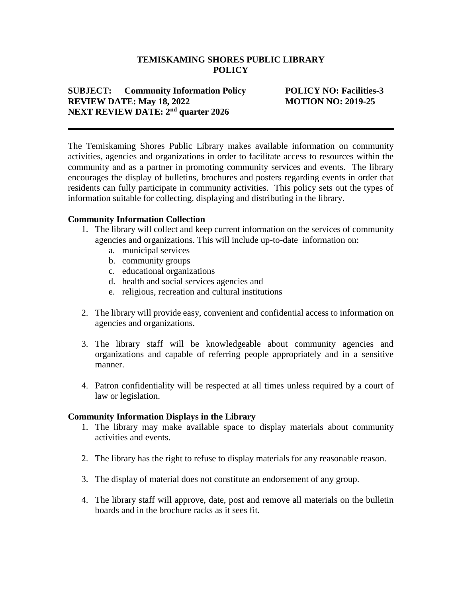### **TEMISKAMING SHORES PUBLIC LIBRARY POLICY**

## **SUBJECT: Community Information Policy POLICY NO: Facilities-3 REVIEW DATE: May 18, 2022 MOTION NO: 2019-25 NEXT REVIEW DATE: 2nd quarter 2026**

The Temiskaming Shores Public Library makes available information on community activities, agencies and organizations in order to facilitate access to resources within the community and as a partner in promoting community services and events. The library encourages the display of bulletins, brochures and posters regarding events in order that residents can fully participate in community activities. This policy sets out the types of information suitable for collecting, displaying and distributing in the library.

### **Community Information Collection**

- 1. The library will collect and keep current information on the services of community agencies and organizations. This will include up-to-date information on:
	- a. municipal services
	- b. community groups
	- c. educational organizations
	- d. health and social services agencies and
	- e. religious, recreation and cultural institutions
- 2. The library will provide easy, convenient and confidential access to information on agencies and organizations.
- 3. The library staff will be knowledgeable about community agencies and organizations and capable of referring people appropriately and in a sensitive manner.
- 4. Patron confidentiality will be respected at all times unless required by a court of law or legislation.

#### **Community Information Displays in the Library**

- 1. The library may make available space to display materials about community activities and events.
- 2. The library has the right to refuse to display materials for any reasonable reason.
- 3. The display of material does not constitute an endorsement of any group.
- 4. The library staff will approve, date, post and remove all materials on the bulletin boards and in the brochure racks as it sees fit.